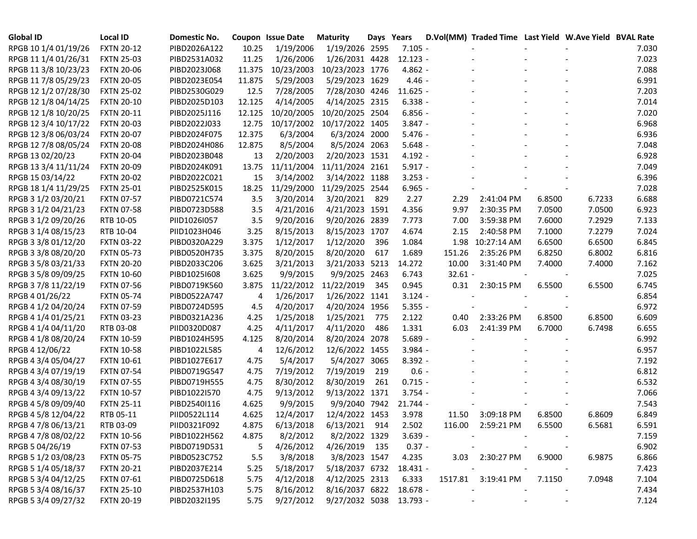| <b>Global ID</b>     | <b>Local ID</b>   | Domestic No. |        | Coupon Issue Date | <b>Maturity</b>            | Days Years |            |           | D.Vol(MM) Traded Time Last Yield W.Ave Yield BVAL Rate |        |                          |       |
|----------------------|-------------------|--------------|--------|-------------------|----------------------------|------------|------------|-----------|--------------------------------------------------------|--------|--------------------------|-------|
| RPGB 10 1/4 01/19/26 | <b>FXTN 20-12</b> | PIBD2026A122 | 10.25  | 1/19/2006         | 1/19/2026 2595             |            | $7.105 -$  |           |                                                        |        |                          | 7.030 |
| RPGB 11 1/4 01/26/31 | <b>FXTN 25-03</b> | PIBD2531A032 | 11.25  | 1/26/2006         | 1/26/2031 4428             |            | $12.123 -$ |           |                                                        |        |                          | 7.023 |
| RPGB 11 3/8 10/23/23 | <b>FXTN 20-06</b> | PIBD2023J068 | 11.375 | 10/23/2003        | 10/23/2023 1776            |            | $4.862 -$  |           |                                                        |        |                          | 7.088 |
| RPGB 11 7/8 05/29/23 | <b>FXTN 20-05</b> | PIBD2023E054 | 11.875 | 5/29/2003         | 5/29/2023 1629             |            | $4.46 -$   |           |                                                        |        |                          | 6.991 |
| RPGB 12 1/2 07/28/30 | <b>FXTN 25-02</b> | PIBD2530G029 | 12.5   | 7/28/2005         | 7/28/2030 4246             |            | $11.625 -$ |           |                                                        |        |                          | 7.203 |
| RPGB 12 1/8 04/14/25 | <b>FXTN 20-10</b> | PIBD2025D103 | 12.125 | 4/14/2005         | 4/14/2025 2315             |            | $6.338 -$  |           |                                                        |        |                          | 7.014 |
| RPGB 12 1/8 10/20/25 | <b>FXTN 20-11</b> | PIBD2025J116 | 12.125 | 10/20/2005        | 10/20/2025 2504            |            | $6.856 -$  |           |                                                        |        |                          | 7.020 |
| RPGB 12 3/4 10/17/22 | <b>FXTN 20-03</b> | PIBD2022J033 | 12.75  |                   | 10/17/2002 10/17/2022 1405 |            | $3.847 -$  |           |                                                        |        |                          | 6.968 |
| RPGB 12 3/8 06/03/24 | <b>FXTN 20-07</b> | PIBD2024F075 | 12.375 | 6/3/2004          | 6/3/2024 2000              |            | $5.476 -$  |           |                                                        |        |                          | 6.936 |
| RPGB 12 7/8 08/05/24 | <b>FXTN 20-08</b> | PIBD2024H086 | 12.875 | 8/5/2004          | 8/5/2024 2063              |            | $5.648 -$  |           |                                                        |        |                          | 7.048 |
| RPGB 13 02/20/23     | <b>FXTN 20-04</b> | PIBD2023B048 | 13     | 2/20/2003         | 2/20/2023 1531             |            | $4.192 -$  |           |                                                        |        |                          | 6.928 |
| RPGB 13 3/4 11/11/24 | <b>FXTN 20-09</b> | PIBD2024K091 | 13.75  | 11/11/2004        | 11/11/2024 2161            |            | $5.917 -$  |           |                                                        |        |                          | 7.049 |
| RPGB 15 03/14/22     | <b>FXTN 20-02</b> | PIBD2022C021 | 15     | 3/14/2002         | 3/14/2022 1188             |            | $3.253 -$  |           |                                                        |        |                          | 6.396 |
| RPGB 18 1/4 11/29/25 | <b>FXTN 25-01</b> | PIBD2525K015 | 18.25  | 11/29/2000        | 11/29/2025 2544            |            | $6.965 -$  |           |                                                        |        |                          | 7.028 |
| RPGB 3 1/2 03/20/21  | <b>FXTN 07-57</b> | PIBD0721C574 | 3.5    | 3/20/2014         | 3/20/2021                  | 829        | 2.27       | 2.29      | 2:41:04 PM                                             | 6.8500 | 6.7233                   | 6.688 |
| RPGB 3 1/2 04/21/23  | <b>FXTN 07-58</b> | PIBD0723D588 | 3.5    | 4/21/2016         | 4/21/2023 1591             |            | 4.356      | 9.97      | 2:30:35 PM                                             | 7.0500 | 7.0500                   | 6.923 |
| RPGB 3 1/2 09/20/26  | RTB 10-05         | PIID1026I057 | 3.5    | 9/20/2016         | 9/20/2026 2839             |            | 7.773      | 7.00      | 3:59:38 PM                                             | 7.6000 | 7.2929                   | 7.133 |
| RPGB 3 1/4 08/15/23  | RTB 10-04         | PIID1023H046 | 3.25   | 8/15/2013         | 8/15/2023 1707             |            | 4.674      | 2.15      | 2:40:58 PM                                             | 7.1000 | 7.2279                   | 7.024 |
| RPGB 3 3/8 01/12/20  | <b>FXTN 03-22</b> | PIBD0320A229 | 3.375  | 1/12/2017         | 1/12/2020                  | 396        | 1.084      | 1.98      | 10:27:14 AM                                            | 6.6500 | 6.6500                   | 6.845 |
| RPGB 3 3/8 08/20/20  | <b>FXTN 05-73</b> | PIBD0520H735 | 3.375  | 8/20/2015         | 8/20/2020                  | 617        | 1.689      | 151.26    | 2:35:26 PM                                             | 6.8250 | 6.8002                   | 6.816 |
| RPGB 3 5/8 03/21/33  | <b>FXTN 20-20</b> | PIBD2033C206 | 3.625  | 3/21/2013         | 3/21/2033 5213             |            | 14.272     | 10.00     | 3:31:40 PM                                             | 7.4000 | 7.4000                   | 7.162 |
| RPGB 3 5/8 09/09/25  | <b>FXTN 10-60</b> | PIBD1025I608 | 3.625  | 9/9/2015          | 9/9/2025 2463              |            | 6.743      | $32.61 -$ |                                                        |        |                          | 7.025 |
| RPGB 37/8 11/22/19   | <b>FXTN 07-56</b> | PIBD0719K560 | 3.875  | 11/22/2012        | 11/22/2019                 | 345        | 0.945      | 0.31      | 2:30:15 PM                                             | 6.5500 | 6.5500                   | 6.745 |
| RPGB 4 01/26/22      | <b>FXTN 05-74</b> | PIBD0522A747 | 4      | 1/26/2017         | 1/26/2022 1141             |            | $3.124 -$  |           |                                                        |        |                          | 6.854 |
| RPGB 4 1/2 04/20/24  | <b>FXTN 07-59</b> | PIBD0724D595 | 4.5    | 4/20/2017         | 4/20/2024 1956             |            | $5.355 -$  |           |                                                        |        |                          | 6.972 |
| RPGB 4 1/4 01/25/21  | <b>FXTN 03-23</b> | PIBD0321A236 | 4.25   | 1/25/2018         | 1/25/2021                  | 775        | 2.122      | 0.40      | 2:33:26 PM                                             | 6.8500 | 6.8500                   | 6.609 |
| RPGB 4 1/4 04/11/20  | RTB 03-08         | PIID0320D087 | 4.25   | 4/11/2017         | 4/11/2020                  | 486        | 1.331      | 6.03      | 2:41:39 PM                                             | 6.7000 | 6.7498                   | 6.655 |
| RPGB 4 1/8 08/20/24  | <b>FXTN 10-59</b> | PIBD1024H595 | 4.125  | 8/20/2014         | 8/20/2024 2078             |            | $5.689 -$  |           |                                                        |        |                          | 6.992 |
| RPGB 4 12/06/22      | <b>FXTN 10-58</b> | PIBD1022L585 | 4      | 12/6/2012         | 12/6/2022                  | 1455       | $3.984 -$  |           |                                                        |        |                          | 6.957 |
| RPGB 4 3/4 05/04/27  | <b>FXTN 10-61</b> | PIBD1027E617 | 4.75   | 5/4/2017          | 5/4/2027                   | 3065       | $8.392 -$  |           |                                                        |        |                          | 7.192 |
| RPGB 4 3/4 07/19/19  | <b>FXTN 07-54</b> | PIBD0719G547 | 4.75   | 7/19/2012         | 7/19/2019                  | 219        | $0.6 -$    |           |                                                        |        |                          | 6.812 |
| RPGB 4 3/4 08/30/19  | <b>FXTN 07-55</b> | PIBD0719H555 | 4.75   | 8/30/2012         | 8/30/2019                  | 261        | $0.715 -$  |           |                                                        |        |                          | 6.532 |
| RPGB 4 3/4 09/13/22  | <b>FXTN 10-57</b> | PIBD1022I570 | 4.75   | 9/13/2012         | 9/13/2022 1371             |            | $3.754 -$  |           |                                                        |        |                          | 7.066 |
| RPGB 4 5/8 09/09/40  | <b>FXTN 25-11</b> | PIBD2540I116 | 4.625  | 9/9/2015          | 9/9/2040 7942              |            | $21.744 -$ |           |                                                        |        |                          | 7.543 |
| RPGB 4 5/8 12/04/22  | RTB 05-11         | PIID0522L114 | 4.625  | 12/4/2017         | 12/4/2022 1453             |            | 3.978      | 11.50     | 3:09:18 PM                                             | 6.8500 | 6.8609                   | 6.849 |
| RPGB 4 7/8 06/13/21  | RTB 03-09         | PIID0321F092 | 4.875  | 6/13/2018         | 6/13/2021 914              |            | 2.502      | 116.00    | 2:59:21 PM                                             | 6.5500 | 6.5681                   | 6.591 |
| RPGB 4 7/8 08/02/22  | <b>FXTN 10-56</b> | PIBD1022H562 | 4.875  | 8/2/2012          | 8/2/2022 1329              |            | $3.639 -$  |           |                                                        |        |                          | 7.159 |
| RPGB 5 04/26/19      | <b>FXTN 07-53</b> | PIBD0719D531 | 5      | 4/26/2012         | 4/26/2019                  | 135        | $0.37 -$   |           |                                                        |        |                          | 6.902 |
| RPGB 5 1/2 03/08/23  | <b>FXTN 05-75</b> | PIBD0523C752 | 5.5    | 3/8/2018          | 3/8/2023 1547              |            | 4.235      |           | 3.03 2:30:27 PM                                        | 6.9000 | 6.9875                   | 6.866 |
| RPGB 5 1/4 05/18/37  | <b>FXTN 20-21</b> | PIBD2037E214 | 5.25   | 5/18/2017         | 5/18/2037 6732             |            | 18.431 -   |           |                                                        |        |                          | 7.423 |
| RPGB 5 3/4 04/12/25  | <b>FXTN 07-61</b> | PIBD0725D618 | 5.75   | 4/12/2018         | 4/12/2025 2313             |            | 6.333      |           | 1517.81 3:19:41 PM                                     | 7.1150 | 7.0948                   | 7.104 |
| RPGB 5 3/4 08/16/37  | <b>FXTN 25-10</b> | PIBD2537H103 | 5.75   | 8/16/2012         | 8/16/2037 6822             |            | 18.678 -   |           |                                                        |        |                          | 7.434 |
| RPGB 5 3/4 09/27/32  | <b>FXTN 20-19</b> | PIBD2032I195 | 5.75   | 9/27/2012         | 9/27/2032 5038 13.793 -    |            |            |           |                                                        |        | $\overline{\phantom{a}}$ | 7.124 |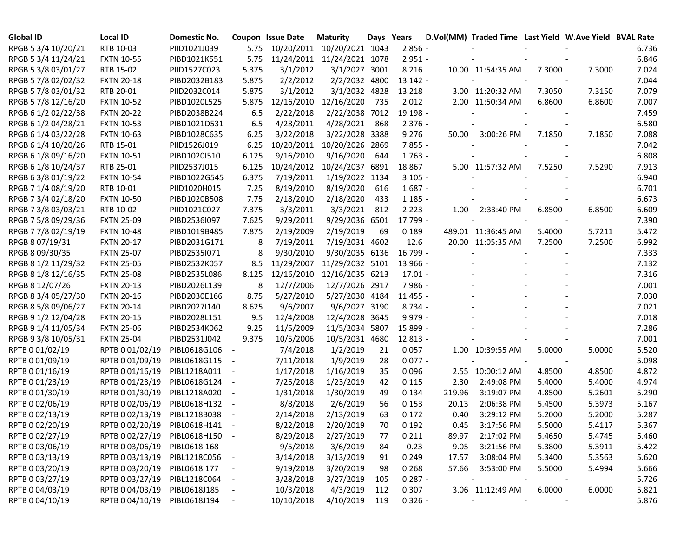| <b>Global ID</b>    | <b>Local ID</b>   | Domestic No. |                          | Coupon Issue Date | <b>Maturity</b>            | Days Years |            |        | D.Vol(MM) Traded Time Last Yield W.Ave Yield BVAL Rate |        |        |       |
|---------------------|-------------------|--------------|--------------------------|-------------------|----------------------------|------------|------------|--------|--------------------------------------------------------|--------|--------|-------|
| RPGB 5 3/4 10/20/21 | RTB 10-03         | PIID1021J039 | 5.75                     |                   | 10/20/2011 10/20/2021 1043 |            | $2.856 -$  |        |                                                        |        |        | 6.736 |
| RPGB 5 3/4 11/24/21 | <b>FXTN 10-55</b> | PIBD1021K551 | 5.75                     |                   | 11/24/2011 11/24/2021 1078 |            | $2.951 -$  |        |                                                        |        |        | 6.846 |
| RPGB 5 3/8 03/01/27 | RTB 15-02         | PIID1527C023 | 5.375                    | 3/1/2012          | 3/1/2027 3001              |            | 8.216      |        | 10.00 11:54:35 AM                                      | 7.3000 | 7.3000 | 7.024 |
| RPGB 5 7/8 02/02/32 | <b>FXTN 20-18</b> | PIBD2032B183 | 5.875                    | 2/2/2012          | 2/2/2032 4800              |            | $13.142 -$ |        |                                                        |        |        | 7.044 |
| RPGB 5 7/8 03/01/32 | RTB 20-01         | PIID2032C014 | 5.875                    | 3/1/2012          | 3/1/2032 4828              |            | 13.218     |        | 3.00 11:20:32 AM                                       | 7.3050 | 7.3150 | 7.079 |
| RPGB 5 7/8 12/16/20 | <b>FXTN 10-52</b> | PIBD1020L525 | 5.875                    | 12/16/2010        | 12/16/2020                 | 735        | 2.012      |        | 2.00 11:50:34 AM                                       | 6.8600 | 6.8600 | 7.007 |
| RPGB 6 1/2 02/22/38 | <b>FXTN 20-22</b> | PIBD2038B224 | 6.5                      | 2/22/2018         | 2/22/2038 7012             |            | 19.198 -   |        |                                                        |        |        | 7.459 |
| RPGB 6 1/2 04/28/21 | <b>FXTN 10-53</b> | PIBD1021D531 | 6.5                      | 4/28/2011         | 4/28/2021                  | 868        | $2.376 -$  |        |                                                        |        |        | 6.580 |
| RPGB 6 1/4 03/22/28 | <b>FXTN 10-63</b> | PIBD1028C635 | 6.25                     | 3/22/2018         | 3/22/2028 3388             |            | 9.276      | 50.00  | 3:00:26 PM                                             | 7.1850 | 7.1850 | 7.088 |
| RPGB 6 1/4 10/20/26 | RTB 15-01         | PIID1526J019 | 6.25                     | 10/20/2011        | 10/20/2026                 | 2869       | $7.855 -$  |        |                                                        |        |        | 7.042 |
| RPGB 6 1/8 09/16/20 | <b>FXTN 10-51</b> | PIBD1020I510 | 6.125                    | 9/16/2010         | 9/16/2020                  | 644        | $1.763 -$  |        |                                                        |        |        | 6.808 |
| RPGB 6 1/8 10/24/37 | RTB 25-01         | PIID2537J015 | 6.125                    | 10/24/2012        | 10/24/2037 6891            |            | 18.867     |        | 5.00 11:57:32 AM                                       | 7.5250 | 7.5290 | 7.913 |
| RPGB 63/8 01/19/22  | <b>FXTN 10-54</b> | PIBD1022G545 | 6.375                    | 7/19/2011         | 1/19/2022 1134             |            | $3.105 -$  |        |                                                        |        |        | 6.940 |
| RPGB 7 1/4 08/19/20 | RTB 10-01         | PIID1020H015 | 7.25                     | 8/19/2010         | 8/19/2020                  | 616        | $1.687 -$  |        |                                                        |        |        | 6.701 |
| RPGB 7 3/4 02/18/20 | <b>FXTN 10-50</b> | PIBD1020B508 | 7.75                     | 2/18/2010         | 2/18/2020                  | 433        | $1.185 -$  |        |                                                        |        |        | 6.673 |
| RPGB 7 3/8 03/03/21 | RTB 10-02         | PIID1021C027 | 7.375                    | 3/3/2011          | 3/3/2021                   | 812        | 2.223      | 1.00   | 2:33:40 PM                                             | 6.8500 | 6.8500 | 6.609 |
| RPGB 7 5/8 09/29/36 | <b>FXTN 25-09</b> | PIBD2536I097 | 7.625                    | 9/29/2011         | 9/29/2036 6501             |            | 17.799 -   |        |                                                        |        |        | 7.390 |
| RPGB 7 7/8 02/19/19 | <b>FXTN 10-48</b> | PIBD1019B485 | 7.875                    | 2/19/2009         | 2/19/2019                  | 69         | 0.189      |        | 489.01 11:36:45 AM                                     | 5.4000 | 5.7211 | 5.472 |
| RPGB 8 07/19/31     | <b>FXTN 20-17</b> | PIBD2031G171 | 8                        | 7/19/2011         | 7/19/2031 4602             |            | 12.6       |        | 20.00 11:05:35 AM                                      | 7.2500 | 7.2500 | 6.992 |
| RPGB 8 09/30/35     | <b>FXTN 25-07</b> | PIBD2535I071 | 8                        | 9/30/2010         | 9/30/2035 6136             |            | 16.799 -   |        |                                                        |        |        | 7.333 |
| RPGB 8 1/2 11/29/32 | <b>FXTN 25-05</b> | PIBD2532K057 | 8.5                      | 11/29/2007        | 11/29/2032 5101            |            | 13.966 -   |        |                                                        |        |        | 7.132 |
| RPGB 8 1/8 12/16/35 | <b>FXTN 25-08</b> | PIBD2535L086 | 8.125                    | 12/16/2010        | 12/16/2035 6213            |            | $17.01 -$  |        |                                                        |        |        | 7.316 |
| RPGB 8 12/07/26     | <b>FXTN 20-13</b> | PIBD2026L139 | 8                        | 12/7/2006         | 12/7/2026 2917             |            | 7.986 -    |        |                                                        |        |        | 7.001 |
| RPGB 8 3/4 05/27/30 | <b>FXTN 20-16</b> | PIBD2030E166 | 8.75                     | 5/27/2010         | 5/27/2030 4184             |            | $11.455 -$ |        |                                                        |        |        | 7.030 |
| RPGB 8 5/8 09/06/27 | <b>FXTN 20-14</b> | PIBD2027I140 | 8.625                    | 9/6/2007          | 9/6/2027 3190              |            | $8.734 -$  |        |                                                        |        |        | 7.021 |
| RPGB 9 1/2 12/04/28 | <b>FXTN 20-15</b> | PIBD2028L151 | 9.5                      | 12/4/2008         | 12/4/2028 3645             |            | $9.979 -$  |        |                                                        |        |        | 7.018 |
| RPGB 9 1/4 11/05/34 | <b>FXTN 25-06</b> | PIBD2534K062 | 9.25                     | 11/5/2009         | 11/5/2034 5807             |            | 15.899 -   |        |                                                        |        |        | 7.286 |
| RPGB 9 3/8 10/05/31 | <b>FXTN 25-04</b> | PIBD2531J042 | 9.375                    | 10/5/2006         | 10/5/2031 4680             |            | 12.813 -   |        |                                                        |        |        | 7.001 |
| RPTB 0 01/02/19     | RPTB 0 01/02/19   | PIBL0618G106 | $\overline{\phantom{a}}$ | 7/4/2018          | 1/2/2019                   | 21         | 0.057      |        | 1.00 10:39:55 AM                                       | 5.0000 | 5.0000 | 5.520 |
| RPTB 0 01/09/19     | RPTB 0 01/09/19   | PIBL0618G115 | $\overline{\phantom{a}}$ | 7/11/2018         | 1/9/2019                   | 28         | $0.077 -$  |        |                                                        |        |        | 5.098 |
| RPTB 0 01/16/19     | RPTB 0 01/16/19   | PIBL1218A011 | $\overline{\phantom{a}}$ | 1/17/2018         | 1/16/2019                  | 35         | 0.096      |        | 2.55 10:00:12 AM                                       | 4.8500 | 4.8500 | 4.872 |
| RPTB 0 01/23/19     | RPTB 0 01/23/19   | PIBL0618G124 | $\overline{\phantom{a}}$ | 7/25/2018         | 1/23/2019                  | 42         | 0.115      | 2.30   | 2:49:08 PM                                             | 5.4000 | 5.4000 | 4.974 |
| RPTB 0 01/30/19     | RPTB 0 01/30/19   | PIBL1218A020 | $\overline{\phantom{a}}$ | 1/31/2018         | 1/30/2019                  | 49         | 0.134      | 219.96 | 3:19:07 PM                                             | 4.8500 | 5.2601 | 5.290 |
| RPTB 0 02/06/19     | RPTB 0 02/06/19   | PIBL0618H132 |                          | 8/8/2018          | 2/6/2019                   | 56         | 0.153      | 20.13  | 2:06:38 PM                                             | 5.4500 | 5.3973 | 5.167 |
| RPTB 0 02/13/19     | RPTB 0 02/13/19   | PIBL1218B038 |                          | 2/14/2018         | 2/13/2019                  | 63         | 0.172      | 0.40   | 3:29:12 PM                                             | 5.2000 | 5.2000 | 5.287 |
| RPTB 0 02/20/19     | RPTB 0 02/20/19   | PIBL0618H141 |                          | 8/22/2018         | 2/20/2019                  | 70         | 0.192      | 0.45   | 3:17:56 PM                                             | 5.5000 | 5.4117 | 5.367 |
| RPTB 0 02/27/19     | RPTB 0 02/27/19   | PIBL0618H150 | $\sim$ $-$               | 8/29/2018         | 2/27/2019                  | 77         | 0.211      | 89.97  | 2:17:02 PM                                             | 5.4650 | 5.4745 | 5.460 |
| RPTB 0 03/06/19     | RPTB 0 03/06/19   | PIBL0618I168 | $\overline{\phantom{a}}$ | 9/5/2018          | 3/6/2019                   | 84         | 0.23       | 9.05   | 3:21:56 PM                                             | 5.3800 | 5.3911 | 5.422 |
| RPTB 0 03/13/19     | RPTB 0 03/13/19   | PIBL1218C056 | $\sim$ $-$               | 3/14/2018         | 3/13/2019                  | 91         | 0.249      | 17.57  | 3:08:04 PM                                             | 5.3400 | 5.3563 | 5.620 |
| RPTB 0 03/20/19     | RPTB 0 03/20/19   | PIBL0618I177 |                          | 9/19/2018         | 3/20/2019                  | 98         | 0.268      | 57.66  | 3:53:00 PM                                             | 5.5000 | 5.4994 | 5.666 |
| RPTB 0 03/27/19     | RPTB 0 03/27/19   | PIBL1218C064 | $\overline{\phantom{a}}$ | 3/28/2018         | 3/27/2019                  | 105        | $0.287 -$  |        | $\overline{\phantom{a}}$                               |        |        | 5.726 |
| RPTB 0 04/03/19     | RPTB 0 04/03/19   | PIBL0618J185 | $\overline{\phantom{a}}$ | 10/3/2018         | 4/3/2019                   | 112        | 0.307      |        | 3.06 11:12:49 AM                                       | 6.0000 | 6.0000 | 5.821 |
| RPTB 0 04/10/19     | RPTB 0 04/10/19   | PIBL0618J194 | $\blacksquare$           | 10/10/2018        | 4/10/2019                  | 119        | $0.326 -$  |        |                                                        |        |        | 5.876 |